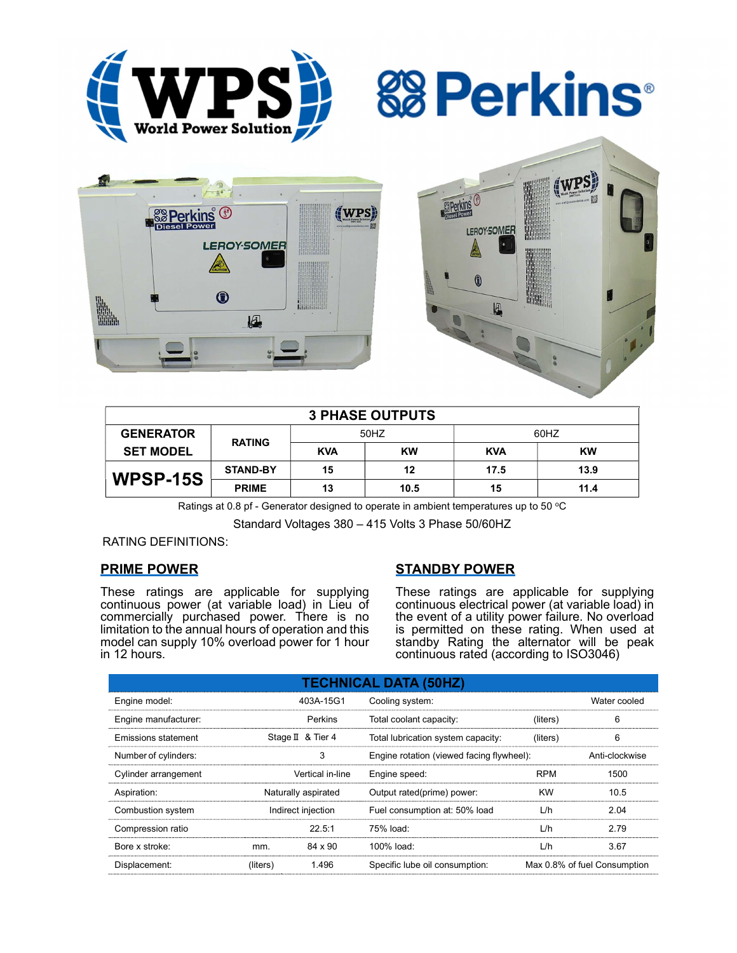







| <b>3 PHASE OUTPUTS</b> |                 |            |      |            |           |  |  |
|------------------------|-----------------|------------|------|------------|-----------|--|--|
| <b>GENERATOR</b>       | <b>RATING</b>   | 50HZ       |      | 60HZ       |           |  |  |
| <b>SET MODEL</b>       |                 | <b>KVA</b> | KW   | <b>KVA</b> | <b>KW</b> |  |  |
| WPSP-15S               | <b>STAND-BY</b> | 15         | 12   | 17.5       | 13.9      |  |  |
|                        | <b>PRIME</b>    | 13         | 10.5 | 15         | 11.4      |  |  |

Ratings at 0.8 pf - Generator designed to operate in ambient temperatures up to 50  $^{\circ}$ C

Standard Voltages 380 – 415 Volts 3 Phase 50/60HZ

### RATING DEFINITIONS:

## PRIME POWER

These ratings are applicable for supplying continuous power (at variable load) in Lieu of commercially purchased power. There is no limitation to the annual hours of operation and this model can supply 10% overload power for 1 hour in 12 hours.

# STANDBY POWER

These ratings are applicable for supplying continuous electrical power (at variable load) in the event of a utility power failure. No overload is permitted on these rating. When used at standby Rating the alternator will be peak continuous rated (according to ISO3046)

| <b>TECHNICAL DATA (50HZ)</b> |                     |                   |                                           |            |                              |  |  |
|------------------------------|---------------------|-------------------|-------------------------------------------|------------|------------------------------|--|--|
| Engine model:                |                     | 403A-15G1         | Cooling system:                           |            | Water cooled                 |  |  |
| Engine manufacturer:         |                     | <b>Perkins</b>    | Total coolant capacity:                   | (liters)   | 6                            |  |  |
| Emissions statement          |                     | Stage II & Tier 4 | Total lubrication system capacity:        | (liters)   | 6                            |  |  |
| Number of cylinders:         | 3                   |                   | Engine rotation (viewed facing flywheel): |            | Anti-clockwise               |  |  |
| Cylinder arrangement         |                     | Vertical in-line  | Engine speed:                             | <b>RPM</b> | 1500                         |  |  |
| Aspiration:                  | Naturally aspirated |                   | Output rated(prime) power:                | <b>KW</b>  | 10.5                         |  |  |
| Combustion system            | Indirect injection  |                   | Fuel consumption at: 50% load             | L/h        | 2.04                         |  |  |
| Compression ratio            |                     | 22.5:1            | 75% load:                                 | L/h        | 2.79                         |  |  |
| Bore x stroke:               | mm.                 | 84 x 90           | 100% load:                                | L/h        | 3.67                         |  |  |
| Displacement:                | (liters)            | 1.496             | Specific lube oil consumption:            |            | Max 0.8% of fuel Consumption |  |  |